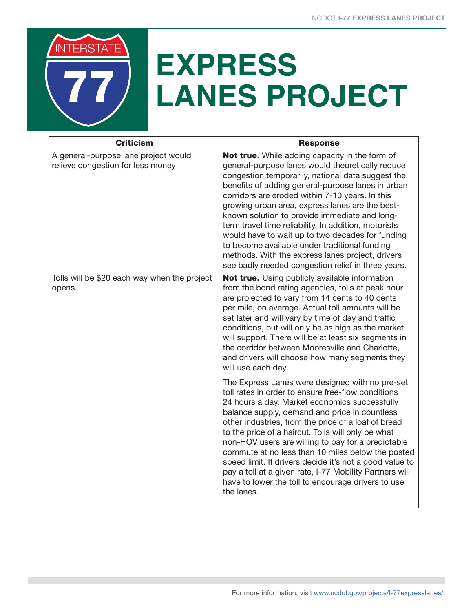

## **EXPRESS LANES PROJECT**

| <b>Criticism</b>                                                          | <b>Response</b>                                                                                                                                                                                                                                                                                                                                                                                                                                                                                                                                                                                                                            |
|---------------------------------------------------------------------------|--------------------------------------------------------------------------------------------------------------------------------------------------------------------------------------------------------------------------------------------------------------------------------------------------------------------------------------------------------------------------------------------------------------------------------------------------------------------------------------------------------------------------------------------------------------------------------------------------------------------------------------------|
| A general-purpose lane project would<br>relieve congestion for less money | Not true. While adding capacity in the form of<br>general-purpose lanes would theoretically reduce<br>congestion temporarily, national data suggest the<br>benefits of adding general-purpose lanes in urban<br>corridors are eroded within 7-10 years. In this<br>growing urban area, express lanes are the best-<br>known solution to provide immediate and long-<br>term travel time reliability. In addition, motorists<br>would have to wait up to two decades for funding<br>to become available under traditional funding<br>methods. With the express lanes project, drivers<br>see badly needed congestion relief in three years. |
| Tolls will be \$20 each way when the project<br>opens.                    | <b>Not true.</b> Using publicly available information<br>from the bond rating agencies, tolls at peak hour<br>are projected to vary from 14 cents to 40 cents<br>per mile, on average. Actual toll amounts will be<br>set later and will vary by time of day and traffic<br>conditions, but will only be as high as the market<br>will support. There will be at least six segments in<br>the corridor between Mooresville and Charlotte,<br>and drivers will choose how many segments they<br>will use each day.                                                                                                                          |
|                                                                           | The Express Lanes were designed with no pre-set<br>toll rates in order to ensure free-flow conditions<br>24 hours a day. Market economics successfully<br>balance supply, demand and price in countless<br>other industries, from the price of a loaf of bread<br>to the price of a haircut. Tolls will only be what<br>non-HOV users are willing to pay for a predictable<br>commute at no less than 10 miles below the posted<br>speed limit. If drivers decide it's not a good value to<br>pay a toll at a given rate, I-77 Mobility Partners will<br>have to lower the toll to encourage drivers to use<br>the lanes.                  |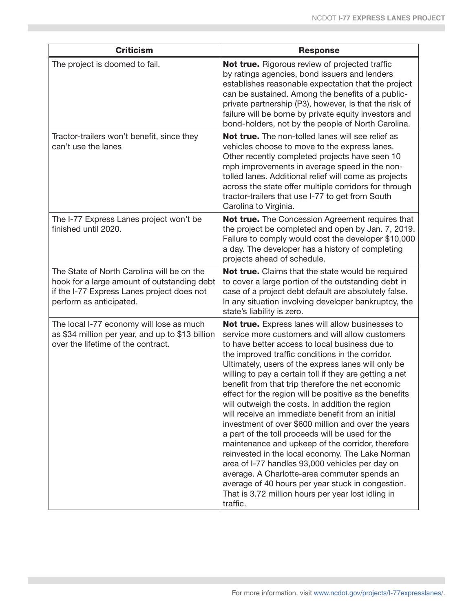| <b>Criticism</b>                                                                                                                                                   | <b>Response</b>                                                                                                                                                                                                                                                                                                                                                                                                                                                                                                                                                                                                                                                                                                                                                                                                                                                                                                                                                                                  |
|--------------------------------------------------------------------------------------------------------------------------------------------------------------------|--------------------------------------------------------------------------------------------------------------------------------------------------------------------------------------------------------------------------------------------------------------------------------------------------------------------------------------------------------------------------------------------------------------------------------------------------------------------------------------------------------------------------------------------------------------------------------------------------------------------------------------------------------------------------------------------------------------------------------------------------------------------------------------------------------------------------------------------------------------------------------------------------------------------------------------------------------------------------------------------------|
| The project is doomed to fail.                                                                                                                                     | Not true. Rigorous review of projected traffic<br>by ratings agencies, bond issuers and lenders<br>establishes reasonable expectation that the project<br>can be sustained. Among the benefits of a public-<br>private partnership (P3), however, is that the risk of<br>failure will be borne by private equity investors and<br>bond-holders, not by the people of North Carolina.                                                                                                                                                                                                                                                                                                                                                                                                                                                                                                                                                                                                             |
| Tractor-trailers won't benefit, since they<br>can't use the lanes                                                                                                  | Not true. The non-tolled lanes will see relief as<br>vehicles choose to move to the express lanes.<br>Other recently completed projects have seen 10<br>mph improvements in average speed in the non-<br>tolled lanes. Additional relief will come as projects<br>across the state offer multiple corridors for through<br>tractor-trailers that use I-77 to get from South<br>Carolina to Virginia.                                                                                                                                                                                                                                                                                                                                                                                                                                                                                                                                                                                             |
| The I-77 Express Lanes project won't be<br>finished until 2020.                                                                                                    | Not true. The Concession Agreement requires that<br>the project be completed and open by Jan. 7, 2019.<br>Failure to comply would cost the developer \$10,000<br>a day. The developer has a history of completing<br>projects ahead of schedule.                                                                                                                                                                                                                                                                                                                                                                                                                                                                                                                                                                                                                                                                                                                                                 |
| The State of North Carolina will be on the<br>hook for a large amount of outstanding debt<br>if the I-77 Express Lanes project does not<br>perform as anticipated. | <b>Not true.</b> Claims that the state would be required<br>to cover a large portion of the outstanding debt in<br>case of a project debt default are absolutely false.<br>In any situation involving developer bankruptcy, the<br>state's liability is zero.                                                                                                                                                                                                                                                                                                                                                                                                                                                                                                                                                                                                                                                                                                                                    |
| The local I-77 economy will lose as much<br>as \$34 million per year, and up to \$13 billion<br>over the lifetime of the contract.                                 | Not true. Express lanes will allow businesses to<br>service more customers and will allow customers<br>to have better access to local business due to<br>the improved traffic conditions in the corridor.<br>Ultimately, users of the express lanes will only be<br>willing to pay a certain toll if they are getting a net<br>benefit from that trip therefore the net economic<br>effect for the region will be positive as the benefits<br>will outweigh the costs. In addition the region<br>will receive an immediate benefit from an initial<br>investment of over \$600 million and over the years<br>a part of the toll proceeds will be used for the<br>maintenance and upkeep of the corridor, therefore<br>reinvested in the local economy. The Lake Norman<br>area of I-77 handles 93,000 vehicles per day on<br>average. A Charlotte-area commuter spends an<br>average of 40 hours per year stuck in congestion.<br>That is 3.72 million hours per year lost idling in<br>traffic. |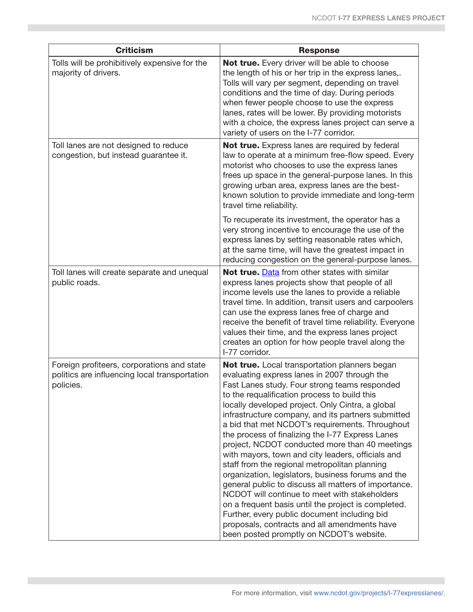| <b>Criticism</b>                                                                                         | <b>Response</b>                                                                                                                                                                                                                                                                                                                                                                                                                                                                                                                                                                                                                                                                                                                                                                                                                                                                                                                           |
|----------------------------------------------------------------------------------------------------------|-------------------------------------------------------------------------------------------------------------------------------------------------------------------------------------------------------------------------------------------------------------------------------------------------------------------------------------------------------------------------------------------------------------------------------------------------------------------------------------------------------------------------------------------------------------------------------------------------------------------------------------------------------------------------------------------------------------------------------------------------------------------------------------------------------------------------------------------------------------------------------------------------------------------------------------------|
| Tolls will be prohibitively expensive for the<br>majority of drivers.                                    | Not true. Every driver will be able to choose<br>the length of his or her trip in the express lanes,.<br>Tolls will vary per segment, depending on travel<br>conditions and the time of day. During periods<br>when fewer people choose to use the express<br>lanes, rates will be lower. By providing motorists<br>with a choice, the express lanes project can serve a<br>variety of users on the I-77 corridor.                                                                                                                                                                                                                                                                                                                                                                                                                                                                                                                        |
| Toll lanes are not designed to reduce<br>congestion, but instead guarantee it.                           | Not true. Express lanes are required by federal<br>law to operate at a minimum free-flow speed. Every<br>motorist who chooses to use the express lanes<br>frees up space in the general-purpose lanes. In this<br>growing urban area, express lanes are the best-<br>known solution to provide immediate and long-term<br>travel time reliability.                                                                                                                                                                                                                                                                                                                                                                                                                                                                                                                                                                                        |
|                                                                                                          | To recuperate its investment, the operator has a<br>very strong incentive to encourage the use of the<br>express lanes by setting reasonable rates which,<br>at the same time, will have the greatest impact in<br>reducing congestion on the general-purpose lanes.                                                                                                                                                                                                                                                                                                                                                                                                                                                                                                                                                                                                                                                                      |
| Toll lanes will create separate and unequal<br>public roads.                                             | Not true. Data from other states with similar<br>express lanes projects show that people of all<br>income levels use the lanes to provide a reliable<br>travel time. In addition, transit users and carpoolers<br>can use the express lanes free of charge and<br>receive the benefit of travel time reliability. Everyone<br>values their time, and the express lanes project<br>creates an option for how people travel along the<br>I-77 corridor.                                                                                                                                                                                                                                                                                                                                                                                                                                                                                     |
| Foreign profiteers, corporations and state<br>politics are influencing local transportation<br>policies. | Not true. Local transportation planners began<br>evaluating express lanes in 2007 through the<br>Fast Lanes study. Four strong teams responded<br>to the requalification process to build this<br>locally developed project. Only Cintra, a global<br>infrastructure company, and its partners submitted<br>a bid that met NCDOT's requirements. Throughout<br>the process of finalizing the I-77 Express Lanes<br>project, NCDOT conducted more than 40 meetings<br>with mayors, town and city leaders, officials and<br>staff from the regional metropolitan planning<br>organization, legislators, business forums and the<br>general public to discuss all matters of importance.<br>NCDOT will continue to meet with stakeholders<br>on a frequent basis until the project is completed.<br>Further, every public document including bid<br>proposals, contracts and all amendments have<br>been posted promptly on NCDOT's website. |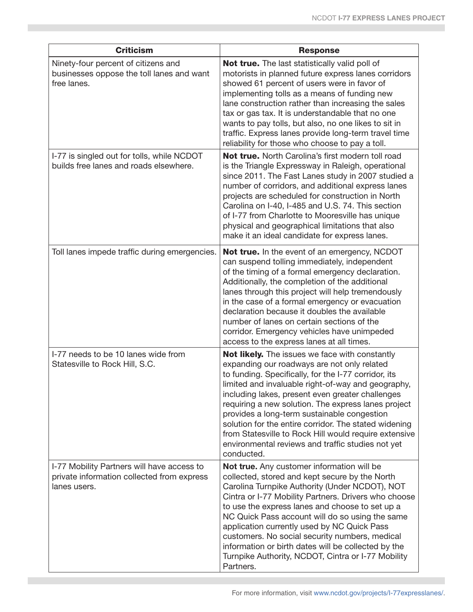| <b>Criticism</b>                                                                                         | <b>Response</b>                                                                                                                                                                                                                                                                                                                                                                                                                                                                                                                                                   |
|----------------------------------------------------------------------------------------------------------|-------------------------------------------------------------------------------------------------------------------------------------------------------------------------------------------------------------------------------------------------------------------------------------------------------------------------------------------------------------------------------------------------------------------------------------------------------------------------------------------------------------------------------------------------------------------|
| Ninety-four percent of citizens and<br>businesses oppose the toll lanes and want<br>free lanes.          | <b>Not true.</b> The last statistically valid poll of<br>motorists in planned future express lanes corridors<br>showed 61 percent of users were in favor of<br>implementing tolls as a means of funding new<br>lane construction rather than increasing the sales<br>tax or gas tax. It is understandable that no one<br>wants to pay tolls, but also, no one likes to sit in<br>traffic. Express lanes provide long-term travel time<br>reliability for those who choose to pay a toll.                                                                          |
| I-77 is singled out for tolls, while NCDOT<br>builds free lanes and roads elsewhere.                     | Not true. North Carolina's first modern toll road<br>is the Triangle Expressway in Raleigh, operational<br>since 2011. The Fast Lanes study in 2007 studied a<br>number of corridors, and additional express lanes<br>projects are scheduled for construction in North<br>Carolina on I-40, I-485 and U.S. 74. This section<br>of I-77 from Charlotte to Mooresville has unique<br>physical and geographical limitations that also<br>make it an ideal candidate for express lanes.                                                                               |
| Toll lanes impede traffic during emergencies.                                                            | Not true. In the event of an emergency, NCDOT<br>can suspend tolling immediately, independent<br>of the timing of a formal emergency declaration.<br>Additionally, the completion of the additional<br>lanes through this project will help tremendously<br>in the case of a formal emergency or evacuation<br>declaration because it doubles the available<br>number of lanes on certain sections of the<br>corridor. Emergency vehicles have unimpeded<br>access to the express lanes at all times.                                                             |
| I-77 needs to be 10 lanes wide from<br>Statesville to Rock Hill, S.C.                                    | <b>Not likely.</b> The issues we face with constantly<br>expanding our roadways are not only related<br>to funding. Specifically, for the I-77 corridor, its<br>limited and invaluable right-of-way and geography,<br>including lakes, present even greater challenges<br>requiring a new solution. The express lanes project<br>provides a long-term sustainable congestion<br>solution for the entire corridor. The stated widening<br>from Statesville to Rock Hill would require extensive<br>environmental reviews and traffic studies not yet<br>conducted. |
| I-77 Mobility Partners will have access to<br>private information collected from express<br>lanes users. | Not true. Any customer information will be<br>collected, stored and kept secure by the North<br>Carolina Turnpike Authority (Under NCDOT), NOT<br>Cintra or I-77 Mobility Partners. Drivers who choose<br>to use the express lanes and choose to set up a<br>NC Quick Pass account will do so using the same<br>application currently used by NC Quick Pass<br>customers. No social security numbers, medical<br>information or birth dates will be collected by the<br>Turnpike Authority, NCDOT, Cintra or I-77 Mobility<br>Partners.                           |